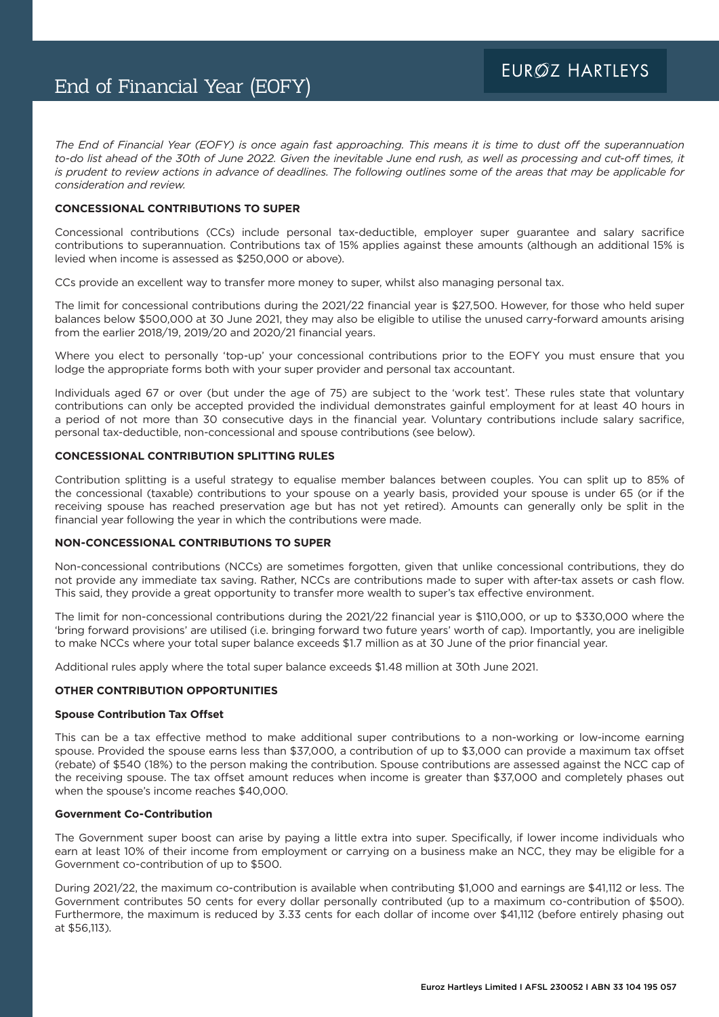*The End of Financial Year (EOFY) is once again fast approaching. This means it is time to dust off the superannuation to-do list ahead of the 30th of June 2022. Given the inevitable June end rush, as well as processing and cut-off times, it is prudent to review actions in advance of deadlines. The following outlines some of the areas that may be applicable for consideration and review.* 

# **CONCESSIONAL CONTRIBUTIONS TO SUPER**

Concessional contributions (CCs) include personal tax-deductible, employer super guarantee and salary sacrifice contributions to superannuation. Contributions tax of 15% applies against these amounts (although an additional 15% is levied when income is assessed as \$250,000 or above).

CCs provide an excellent way to transfer more money to super, whilst also managing personal tax.

The limit for concessional contributions during the 2021/22 financial year is \$27,500. However, for those who held super balances below \$500,000 at 30 June 2021, they may also be eligible to utilise the unused carry-forward amounts arising from the earlier 2018/19, 2019/20 and 2020/21 financial years.

Where you elect to personally 'top-up' your concessional contributions prior to the EOFY you must ensure that you lodge the appropriate forms both with your super provider and personal tax accountant.

Individuals aged 67 or over (but under the age of 75) are subject to the 'work test'. These rules state that voluntary contributions can only be accepted provided the individual demonstrates gainful employment for at least 40 hours in a period of not more than 30 consecutive days in the financial year. Voluntary contributions include salary sacrifice, personal tax-deductible, non-concessional and spouse contributions (see below).

### **CONCESSIONAL CONTRIBUTION SPLITTING RULES**

Contribution splitting is a useful strategy to equalise member balances between couples. You can split up to 85% of the concessional (taxable) contributions to your spouse on a yearly basis, provided your spouse is under 65 (or if the receiving spouse has reached preservation age but has not yet retired). Amounts can generally only be split in the financial year following the year in which the contributions were made.

### **NON-CONCESSIONAL CONTRIBUTIONS TO SUPER**

Non-concessional contributions (NCCs) are sometimes forgotten, given that unlike concessional contributions, they do not provide any immediate tax saving. Rather, NCCs are contributions made to super with after-tax assets or cash flow. This said, they provide a great opportunity to transfer more wealth to super's tax effective environment.

The limit for non-concessional contributions during the 2021/22 financial year is \$110,000, or up to \$330,000 where the 'bring forward provisions' are utilised (i.e. bringing forward two future years' worth of cap). Importantly, you are ineligible to make NCCs where your total super balance exceeds \$1.7 million as at 30 June of the prior financial year.

Additional rules apply where the total super balance exceeds \$1.48 million at 30th June 2021.

### **OTHER CONTRIBUTION OPPORTUNITIES**

#### **Spouse Contribution Tax Offset**

This can be a tax effective method to make additional super contributions to a non-working or low-income earning spouse. Provided the spouse earns less than \$37,000, a contribution of up to \$3,000 can provide a maximum tax offset (rebate) of \$540 (18%) to the person making the contribution. Spouse contributions are assessed against the NCC cap of the receiving spouse. The tax offset amount reduces when income is greater than \$37,000 and completely phases out when the spouse's income reaches \$40,000.

### **Government Co-Contribution**

The Government super boost can arise by paying a little extra into super. Specifically, if lower income individuals who earn at least 10% of their income from employment or carrying on a business make an NCC, they may be eligible for a Government co-contribution of up to \$500.

During 2021/22, the maximum co-contribution is available when contributing \$1,000 and earnings are \$41,112 or less. The Government contributes 50 cents for every dollar personally contributed (up to a maximum co-contribution of \$500). Furthermore, the maximum is reduced by 3.33 cents for each dollar of income over \$41,112 (before entirely phasing out at \$56,113).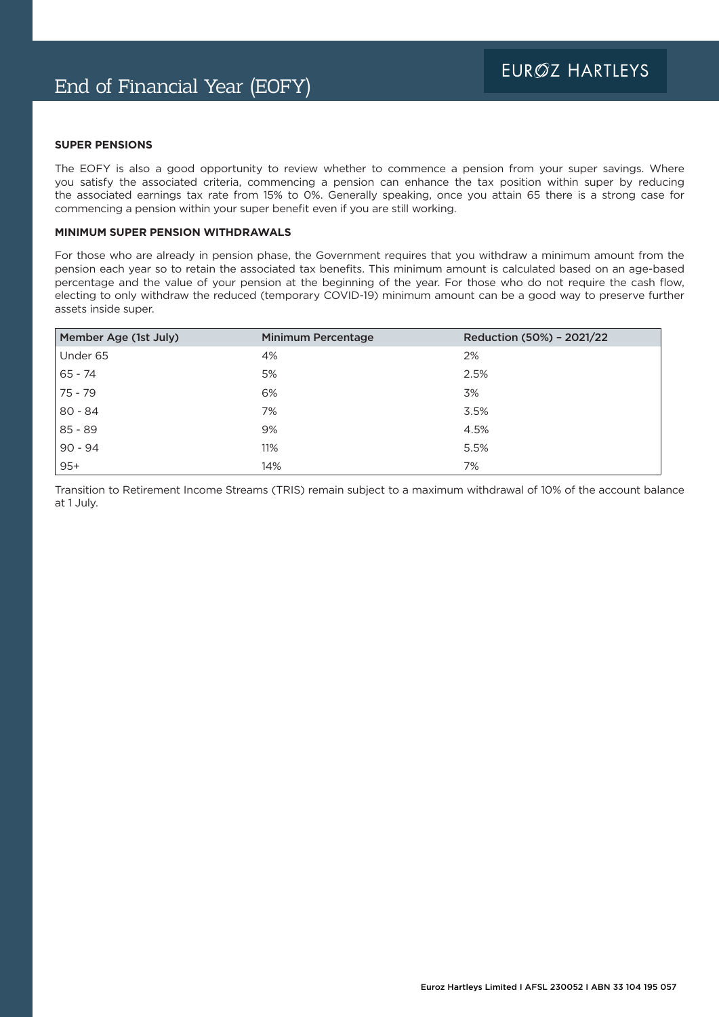### **SUPER PENSIONS**

The EOFY is also a good opportunity to review whether to commence a pension from your super savings. Where you satisfy the associated criteria, commencing a pension can enhance the tax position within super by reducing the associated earnings tax rate from 15% to 0%. Generally speaking, once you attain 65 there is a strong case for commencing a pension within your super benefit even if you are still working.

## **MINIMUM SUPER PENSION WITHDRAWALS**

For those who are already in pension phase, the Government requires that you withdraw a minimum amount from the pension each year so to retain the associated tax benefits. This minimum amount is calculated based on an age-based percentage and the value of your pension at the beginning of the year. For those who do not require the cash flow, electing to only withdraw the reduced (temporary COVID-19) minimum amount can be a good way to preserve further assets inside super.

| Member Age (1st July) | <b>Minimum Percentage</b> | Reduction (50%) - 2021/22 |
|-----------------------|---------------------------|---------------------------|
| Under 65              | 4%                        | 2%                        |
| 65 - 74               | 5%                        | 2.5%                      |
| 75 - 79               | 6%                        | 3%                        |
| $80 - 84$             | 7%                        | 3.5%                      |
| $85 - 89$             | 9%                        | 4.5%                      |
| $90 - 94$             | 11%                       | 5.5%                      |
| $95+$                 | 14%                       | 7%                        |

Transition to Retirement Income Streams (TRIS) remain subject to a maximum withdrawal of 10% of the account balance at 1 July.